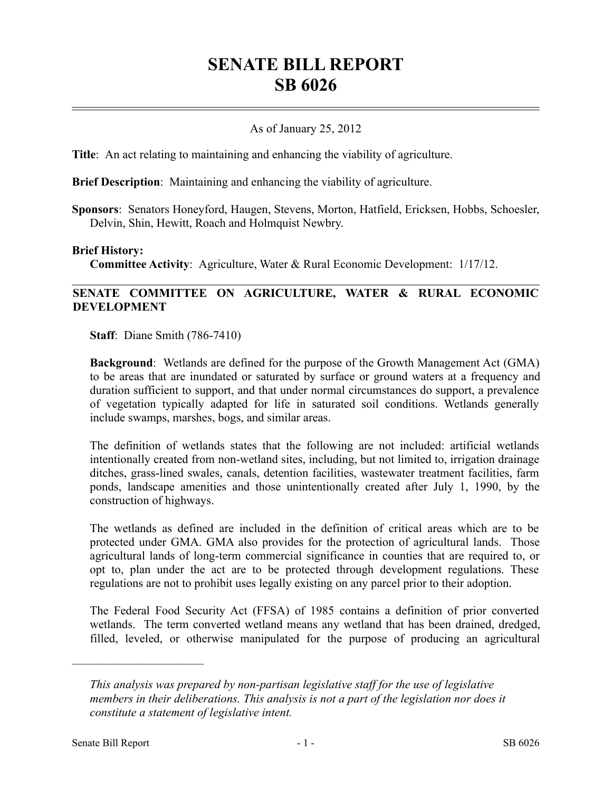# **SENATE BILL REPORT SB 6026**

## As of January 25, 2012

**Title**: An act relating to maintaining and enhancing the viability of agriculture.

**Brief Description**: Maintaining and enhancing the viability of agriculture.

**Sponsors**: Senators Honeyford, Haugen, Stevens, Morton, Hatfield, Ericksen, Hobbs, Schoesler, Delvin, Shin, Hewitt, Roach and Holmquist Newbry.

#### **Brief History:**

**Committee Activity**: Agriculture, Water & Rural Economic Development: 1/17/12.

## **SENATE COMMITTEE ON AGRICULTURE, WATER & RURAL ECONOMIC DEVELOPMENT**

**Staff**: Diane Smith (786-7410)

**Background**: Wetlands are defined for the purpose of the Growth Management Act (GMA) to be areas that are inundated or saturated by surface or ground waters at a frequency and duration sufficient to support, and that under normal circumstances do support, a prevalence of vegetation typically adapted for life in saturated soil conditions. Wetlands generally include swamps, marshes, bogs, and similar areas.

The definition of wetlands states that the following are not included: artificial wetlands intentionally created from non-wetland sites, including, but not limited to, irrigation drainage ditches, grass-lined swales, canals, detention facilities, wastewater treatment facilities, farm ponds, landscape amenities and those unintentionally created after July 1, 1990, by the construction of highways.

The wetlands as defined are included in the definition of critical areas which are to be protected under GMA. GMA also provides for the protection of agricultural lands. Those agricultural lands of long-term commercial significance in counties that are required to, or opt to, plan under the act are to be protected through development regulations. These regulations are not to prohibit uses legally existing on any parcel prior to their adoption.

The Federal Food Security Act (FFSA) of 1985 contains a definition of prior converted wetlands. The term converted wetland means any wetland that has been drained, dredged, filled, leveled, or otherwise manipulated for the purpose of producing an agricultural

––––––––––––––––––––––

*This analysis was prepared by non-partisan legislative staff for the use of legislative members in their deliberations. This analysis is not a part of the legislation nor does it constitute a statement of legislative intent.*